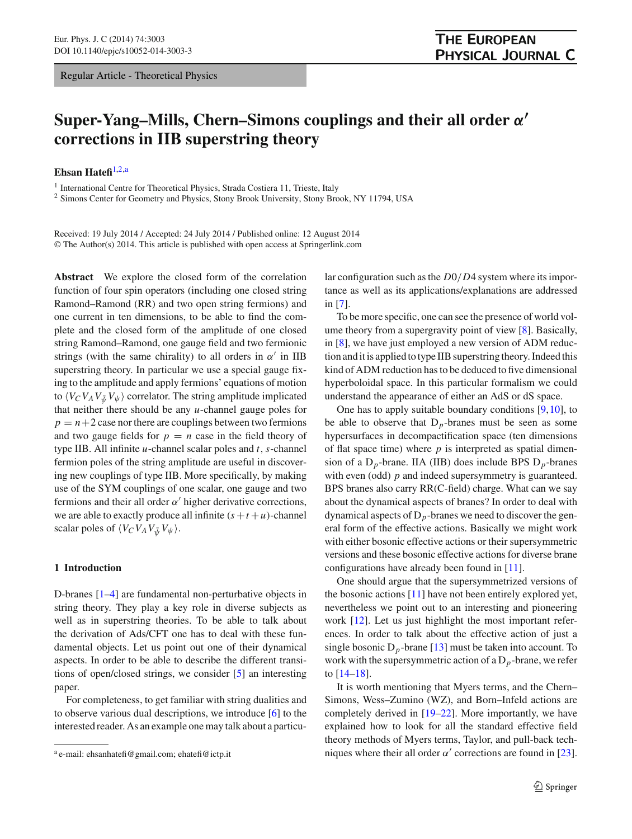Regular Article - Theoretical Physics

# **Super-Yang–Mills, Chern–Simons couplings and their all order** *α* **corrections in IIB superstring theory**

**Ehsan Hatefi**[1,2,](#page-0-0)a

<sup>1</sup> International Centre for Theoretical Physics, Strada Costiera 11, Trieste, Italy

<sup>2</sup> Simons Center for Geometry and Physics, Stony Brook University, Stony Brook, NY 11794, USA

Received: 19 July 2014 / Accepted: 24 July 2014 / Published online: 12 August 2014 © The Author(s) 2014. This article is published with open access at Springerlink.com

**Abstract** We explore the closed form of the correlation function of four spin operators (including one closed string Ramond–Ramond (RR) and two open string fermions) and one current in ten dimensions, to be able to find the complete and the closed form of the amplitude of one closed string Ramond–Ramond, one gauge field and two fermionic strings (with the same chirality) to all orders in  $\alpha'$  in IIB superstring theory. In particular we use a special gauge fixing to the amplitude and apply fermions' equations of motion to  $\langle V_C V_A V_{\bar{\psi}} V_{\psi} \rangle$  correlator. The string amplitude implicated that neither there should be any *u*-channel gauge poles for  $p = n + 2$  case nor there are couplings between two fermions and two gauge fields for  $p = n$  case in the field theory of type IIB. All infinite *u*-channel scalar poles and *t*,*s*-channel fermion poles of the string amplitude are useful in discovering new couplings of type IIB. More specifically, by making use of the SYM couplings of one scalar, one gauge and two fermions and their all order  $\alpha'$  higher derivative corrections, we are able to exactly produce all infinite  $(s + t + u)$ -channel scalar poles of  $\langle V_C V_A V_{\bar{W}} V_{\psi} \rangle$ .

## **1 Introduction**

D-branes [\[1](#page-8-0)[–4](#page-8-1)] are fundamental non-perturbative objects in string theory. They play a key role in diverse subjects as well as in superstring theories. To be able to talk about the derivation of Ads/CFT one has to deal with these fundamental objects. Let us point out one of their dynamical aspects. In order to be able to describe the different transitions of open/closed strings, we consider [\[5](#page-8-2)] an interesting paper.

For completeness, to get familiar with string dualities and to observe various dual descriptions, we introduce [\[6](#page-8-3)] to the interested reader. As an example one may talk about a particu<span id="page-0-0"></span>lar configuration such as the *D*0/*D*4 system where its importance as well as its applications/explanations are addressed in [\[7\]](#page-8-4).

To be more specific, one can see the presence of world volume theory from a supergravity point of view [\[8](#page-8-5)]. Basically, in [\[8\]](#page-8-5), we have just employed a new version of ADM reduction and it is applied to type IIB superstring theory. Indeed this kind of ADM reduction has to be deduced to five dimensional hyperboloidal space. In this particular formalism we could understand the appearance of either an AdS or dS space.

One has to apply suitable boundary conditions [\[9,](#page-8-6)[10\]](#page-8-7), to be able to observe that  $D_p$ -branes must be seen as some hypersurfaces in decompactification space (ten dimensions of flat space time) where *p* is interpreted as spatial dimension of a D*p*-brane. IIA (IIB) does include BPS D*p*-branes with even (odd) *p* and indeed supersymmetry is guaranteed. BPS branes also carry RR(C-field) charge. What can we say about the dynamical aspects of branes? In order to deal with dynamical aspects of  $D_p$ -branes we need to discover the general form of the effective actions. Basically we might work with either bosonic effective actions or their supersymmetric versions and these bosonic effective actions for diverse brane configurations have already been found in [\[11\]](#page-8-8).

One should argue that the supersymmetrized versions of the bosonic actions [\[11\]](#page-8-8) have not been entirely explored yet, nevertheless we point out to an interesting and pioneering work [\[12\]](#page-8-9). Let us just highlight the most important references. In order to talk about the effective action of just a single bosonic  $D_p$ -brane [\[13\]](#page-8-10) must be taken into account. To work with the supersymmetric action of a  $D_p$ -brane, we refer to  $[14–18]$  $[14–18]$ .

It is worth mentioning that Myers terms, and the Chern– Simons, Wess–Zumino (WZ), and Born–Infeld actions are completely derived in [\[19](#page-8-13)[–22\]](#page-9-0). More importantly, we have explained how to look for all the standard effective field theory methods of Myers terms, Taylor, and pull-back techniques where their all order  $\alpha'$  corrections are found in [\[23](#page-9-1)].

<sup>a</sup> e-mail: ehsanhatefi@gmail.com; ehatefi@ictp.it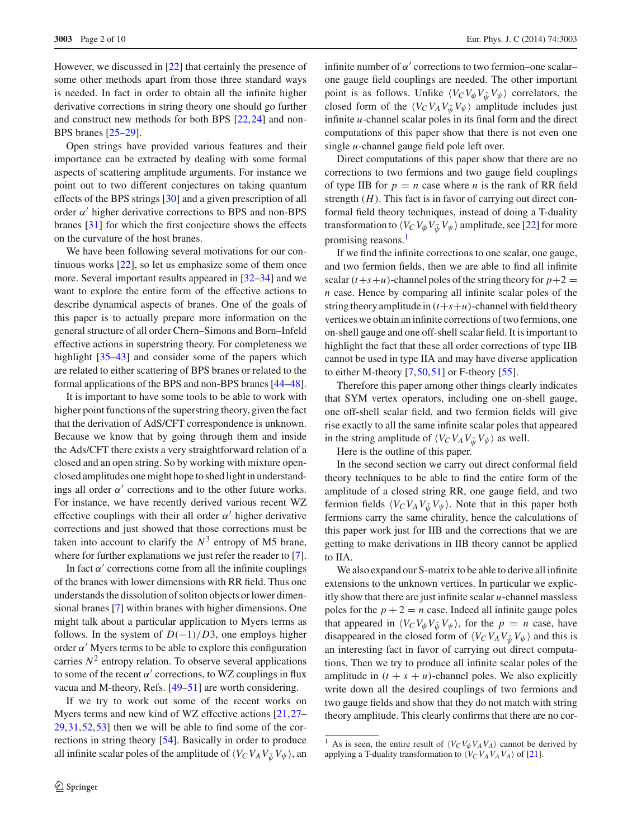However, we discussed in [\[22](#page-9-0)] that certainly the presence of some other methods apart from those three standard ways is needed. In fact in order to obtain all the infinite higher derivative corrections in string theory one should go further and construct new methods for both BPS [\[22](#page-9-0)[,24](#page-9-2)] and non-BPS branes [\[25](#page-9-3)[–29\]](#page-9-4).

Open strings have provided various features and their importance can be extracted by dealing with some formal aspects of scattering amplitude arguments. For instance we point out to two different conjectures on taking quantum effects of the BPS strings [\[30](#page-9-5)] and a given prescription of all order  $\alpha'$  higher derivative corrections to BPS and non-BPS branes [\[31](#page-9-6)] for which the first conjecture shows the effects on the curvature of the host branes.

We have been following several motivations for our continuous works [\[22](#page-9-0)], so let us emphasize some of them once more. Several important results appeared in [\[32](#page-9-7)[–34\]](#page-9-8) and we want to explore the entire form of the effective actions to describe dynamical aspects of branes. One of the goals of this paper is to actually prepare more information on the general structure of all order Chern–Simons and Born–Infeld effective actions in superstring theory. For completeness we highlight [\[35](#page-9-9)[–43](#page-9-10)] and consider some of the papers which are related to either scattering of BPS branes or related to the formal applications of the BPS and non-BPS branes [\[44](#page-9-11)[–48](#page-9-12)].

It is important to have some tools to be able to work with higher point functions of the superstring theory, given the fact that the derivation of AdS/CFT correspondence is unknown. Because we know that by going through them and inside the Ads/CFT there exists a very straightforward relation of a closed and an open string. So by working with mixture openclosed amplitudes one might hope to shed light in understandings all order  $\alpha'$  corrections and to the other future works. For instance, we have recently derived various recent WZ effective couplings with their all order  $\alpha'$  higher derivative corrections and just showed that those corrections must be taken into account to clarify the  $N^3$  entropy of M5 brane, where for further explanations we just refer the reader to [\[7](#page-8-4)].

In fact  $\alpha'$  corrections come from all the infinite couplings of the branes with lower dimensions with RR field. Thus one understands the dissolution of soliton objects or lower dimensional branes [\[7\]](#page-8-4) within branes with higher dimensions. One might talk about a particular application to Myers terms as follows. In the system of  $D(-1)/D3$ , one employs higher order  $\alpha'$  Myers terms to be able to explore this configuration carries  $N^2$  entropy relation. To observe several applications to some of the recent  $\alpha'$  corrections, to WZ couplings in flux vacua and M-theory, Refs. [\[49](#page-9-13)[–51\]](#page-9-14) are worth considering.

If we try to work out some of the recent works on Myers terms and new kind of WZ effective actions [\[21](#page-8-15)[,27](#page-9-15)– [29](#page-9-4)[,31](#page-9-6)[,52](#page-9-16),[53\]](#page-9-17) then we will be able to find some of the corrections in string theory [\[54](#page-9-18)]. Basically in order to produce all infinite scalar poles of the amplitude of  $\langle V_C V_A V_{\bar{w}} V_{\psi} \rangle$ , an

infinite number of  $\alpha'$  corrections to two fermion–one scalar– one gauge field couplings are needed. The other important point is as follows. Unlike  $\langle V_C V_{\phi} V_{\psi} V_{\psi} \rangle$  correlators, the closed form of the  $\langle V_C V_A V_{\psi} V_{\psi} \rangle$  amplitude includes just infinite *u*-channel scalar poles in its final form and the direct computations of this paper show that there is not even one single *u*-channel gauge field pole left over.

Direct computations of this paper show that there are no corrections to two fermions and two gauge field couplings of type IIB for  $p = n$  case where *n* is the rank of RR field strength (*H*). This fact is in favor of carrying out direct conformal field theory techniques, instead of doing a T-duality transformation to  $\langle V_C V_{\phi} V_{\psi} V_{\psi} \rangle$  amplitude, see [\[22](#page-9-0)] for more promising reasons.<sup>[1](#page-1-0)</sup>

If we find the infinite corrections to one scalar, one gauge, and two fermion fields, then we are able to find all infinite scalar  $(t+s+u)$ -channel poles of the string theory for  $p+2$ *n* case. Hence by comparing all infinite scalar poles of the string theory amplitude in  $(t+s+u)$ -channel with field theory vertices we obtain an infinite corrections of two fermions, one on-shell gauge and one off-shell scalar field. It is important to highlight the fact that these all order corrections of type IIB cannot be used in type IIA and may have diverse application to either M-theory  $[7,50,51]$  $[7,50,51]$  $[7,50,51]$  $[7,50,51]$  or F-theory  $[55]$  $[55]$ .

Therefore this paper among other things clearly indicates that SYM vertex operators, including one on-shell gauge, one off-shell scalar field, and two fermion fields will give rise exactly to all the same infinite scalar poles that appeared in the string amplitude of  $\langle V_C V_A V_{\bar{u}} V_{\psi} \rangle$  as well.

Here is the outline of this paper.

In the second section we carry out direct conformal field theory techniques to be able to find the entire form of the amplitude of a closed string RR, one gauge field, and two fermion fields  $\langle V_C V_A V_{\bar{\psi}} V_{\psi} \rangle$ . Note that in this paper both fermions carry the same chirality, hence the calculations of this paper work just for IIB and the corrections that we are getting to make derivations in IIB theory cannot be applied to IIA.

We also expand our S-matrix to be able to derive all infinite extensions to the unknown vertices. In particular we explicitly show that there are just infinite scalar *u*-channel massless poles for the  $p + 2 = n$  case. Indeed all infinite gauge poles that appeared in  $\langle V_C V_{\phi} V_{\psi} V_{\psi} \rangle$ , for the  $p = n$  case, have disappeared in the closed form of  $\langle V_C V_A V_{\bar{\psi}} V_{\psi} \rangle$  and this is an interesting fact in favor of carrying out direct computations. Then we try to produce all infinite scalar poles of the amplitude in  $(t + s + u)$ -channel poles. We also explicitly write down all the desired couplings of two fermions and two gauge fields and show that they do not match with string theory amplitude. This clearly confirms that there are no cor-

<span id="page-1-0"></span><sup>&</sup>lt;sup>1</sup> As is seen, the entire result of  $\langle V_C V_{\phi} V_A V_A \rangle$  cannot be derived by applying a T-duality transformation to  $\langle V_C V_A V_A V_A \rangle$  of [\[21\]](#page-8-15).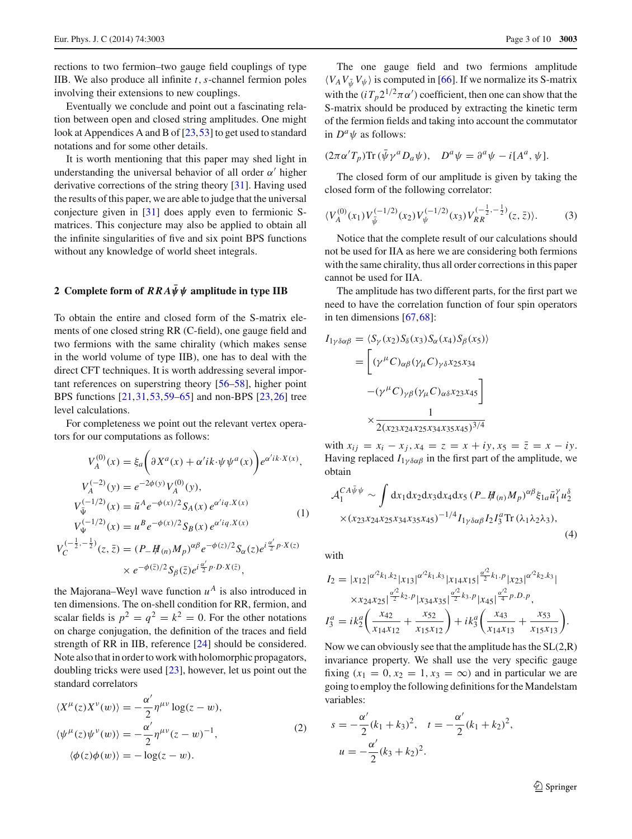rections to two fermion–two gauge field couplings of type IIB. We also produce all infinite *t*,*s*-channel fermion poles involving their extensions to new couplings.

Eventually we conclude and point out a fascinating relation between open and closed string amplitudes. One might look at Appendices A and B of [\[23,](#page-9-1)[53\]](#page-9-17) to get used to standard notations and for some other details.

It is worth mentioning that this paper may shed light in understanding the universal behavior of all order  $\alpha'$  higher derivative corrections of the string theory [\[31](#page-9-6)]. Having used the results of this paper, we are able to judge that the universal conjecture given in [\[31](#page-9-6)] does apply even to fermionic Smatrices. This conjecture may also be applied to obtain all the infinite singularities of five and six point BPS functions without any knowledge of world sheet integrals.

## **2** Complete form of  $RRA\bar{\psi}\psi$  amplitude in type IIB

To obtain the entire and closed form of the S-matrix elements of one closed string RR (C-field), one gauge field and two fermions with the same chirality (which makes sense in the world volume of type IIB), one has to deal with the direct CFT techniques. It is worth addressing several important references on superstring theory [\[56](#page-9-21)[–58\]](#page-9-22), higher point BPS functions [\[21](#page-8-15)[,31](#page-9-6)[,53](#page-9-17),[59](#page-9-23)[–65](#page-9-24)] and non-BPS [\[23](#page-9-1)[,26](#page-9-25)] tree level calculations.

For completeness we point out the relevant vertex operators for our computations as follows:

$$
V_A^{(0)}(x) = \xi_a \left( \partial X^a(x) + \alpha' i k \cdot \psi \psi^a(x) \right) e^{\alpha' i k \cdot X(x)},
$$
  
\n
$$
V_A^{(-2)}(y) = e^{-2\phi(y)} V_A^{(0)}(y),
$$
  
\n
$$
V_{\bar{\Psi}}^{(-1/2)}(x) = \bar{u}^A e^{-\phi(x)/2} S_A(x) e^{\alpha' i q. X(x)}
$$
  
\n
$$
V_{\Psi}^{(-1/2)}(x) = u^B e^{-\phi(x)/2} S_B(x) e^{\alpha' i q. X(x)}
$$
  
\n
$$
V_C^{(-\frac{1}{2}, -\frac{1}{2})}(z, \bar{z}) = (P_- \#_{(n)} M_p)^{\alpha \beta} e^{-\phi(z)/2} S_\alpha(z) e^{i \frac{\alpha'}{2} p \cdot X(z)}
$$

$$
\times e^{-\phi(\bar{z})/2} S_{\beta}(\bar{z}) e^{i\frac{\alpha'}{2}p \cdot D \cdot X(\bar{z})},
$$

the Majorana–Weyl wave function  $u^A$  is also introduced in ten dimensions. The on-shell condition for RR, fermion, and scalar fields is  $p^2 = q^2 = k^2 = 0$ . For the other notations on charge conjugation, the definition of the traces and field strength of RR in IIB, reference [\[24\]](#page-9-2) should be considered. Note also that in order to work with holomorphic propagators, doubling tricks were used [\[23](#page-9-1)], however, let us point out the standard correlators

$$
\langle X^{\mu}(z)X^{\nu}(w)\rangle = -\frac{\alpha'}{2}\eta^{\mu\nu}\log(z-w),
$$
  

$$
\langle \psi^{\mu}(z)\psi^{\nu}(w)\rangle = -\frac{\alpha'}{2}\eta^{\mu\nu}(z-w)^{-1},
$$
  

$$
\langle \phi(z)\phi(w)\rangle = -\log(z-w).
$$
 (2)

The one gauge field and two fermions amplitude  $\langle V_A V_{\bar{\psi}} V_{\psi} \rangle$  is computed in [\[66\]](#page-9-26). If we normalize its S-matrix with the  $(iT_p 2^{1/2} \pi \alpha')$  coefficient, then one can show that the S-matrix should be produced by extracting the kinetic term of the fermion fields and taking into account the commutator in  $D^a \psi$  as follows:

$$
(2\pi\alpha'T_p)\text{Tr}\,(\bar{\psi}\gamma^aD_a\psi),\quad D^a\psi=\partial^a\psi-i[A^a,\psi].
$$

The closed form of our amplitude is given by taking the closed form of the following correlator:

$$
\langle V_A^{(0)}(x_1) V_{\bar{\psi}}^{(-1/2)}(x_2) V_{\psi}^{(-1/2)}(x_3) V_{RR}^{(-\frac{1}{2}, -\frac{1}{2})}(z, \bar{z}) \rangle. \tag{3}
$$

Notice that the complete result of our calculations should not be used for IIA as here we are considering both fermions with the same chirality, thus all order corrections in this paper cannot be used for IIA.

The amplitude has two different parts, for the first part we need to have the correlation function of four spin operators in ten dimensions [\[67](#page-9-27)[,68](#page-9-28)]:

$$
I_{1\gamma\delta\alpha\beta} = \langle S_{\gamma}(x_2) S_{\delta}(x_3) S_{\alpha}(x_4) S_{\beta}(x_5) \rangle
$$
  
= 
$$
\left[ (\gamma^{\mu} C)_{\alpha\beta} (\gamma_{\mu} C)_{\gamma\delta} x_{25} x_{34} - (\gamma^{\mu} C)_{\gamma\beta} (\gamma_{\mu} C)_{\alpha\delta} x_{23} x_{45} \right]
$$
  

$$
\times \frac{1}{2(x_{23} x_{24} x_{25} x_{34} x_{35} x_{45})^{3/4}}
$$

with  $x_{ij} = x_i - x_j$ ,  $x_4 = z = x + iy$ ,  $x_5 = \overline{z} = x - iy$ . Having replaced  $I_{1\gamma\delta\alpha\beta}$  in the first part of the amplitude, we obtain

$$
\mathcal{A}_{1}^{CA\bar{\psi}\psi} \sim \int dx_{1} dx_{2} dx_{3} dx_{4} dx_{5} \left( P_{-} H_{(n)} M_{p} \right)^{\alpha\beta} \xi_{1a} \bar{u}_{1}^{\gamma} u_{2}^{\delta}
$$
  
× $(x_{23}x_{24}x_{25}x_{34}x_{35}x_{45})^{-1/4} I_{1\gamma\delta\alpha\beta} I_{2} I_{3}^{a} \text{Tr} \left( \lambda_{1} \lambda_{2} \lambda_{3} \right),$  (4)

with

$$
I_2 = |x_{12}|^{\alpha^2 k_1.k_2} |x_{13}|^{\alpha^2 k_1.k_3} |x_{14}x_{15}|^{\frac{\alpha^2}{2}k_1.p} |x_{23}|^{\alpha^2 k_2.k_3}|
$$
  
\n
$$
\times x_{24}x_{25}|^{\frac{\alpha^2}{2}k_2.p} |x_{34}x_{35}|^{\frac{\alpha^2}{2}k_3.p} |x_{45}|^{\frac{\alpha^2}{4}p.D.p},
$$
  
\n
$$
I_3^a = ik_2^a \left(\frac{x_{42}}{x_{14}x_{12}} + \frac{x_{52}}{x_{15}x_{12}}\right) + ik_3^a \left(\frac{x_{43}}{x_{14}x_{13}} + \frac{x_{53}}{x_{15}x_{13}}\right).
$$

Now we can obviously see that the amplitude has the  $SL(2,R)$ invariance property. We shall use the very specific gauge fixing  $(x_1 = 0, x_2 = 1, x_3 = \infty)$  and in particular we are going to employ the following definitions for the Mandelstam variables:

$$
s = -\frac{\alpha'}{2}(k_1 + k_3)^2, \quad t = -\frac{\alpha'}{2}(k_1 + k_2)^2,
$$
  

$$
u = -\frac{\alpha'}{2}(k_3 + k_2)^2.
$$

<sup>2</sup> Springer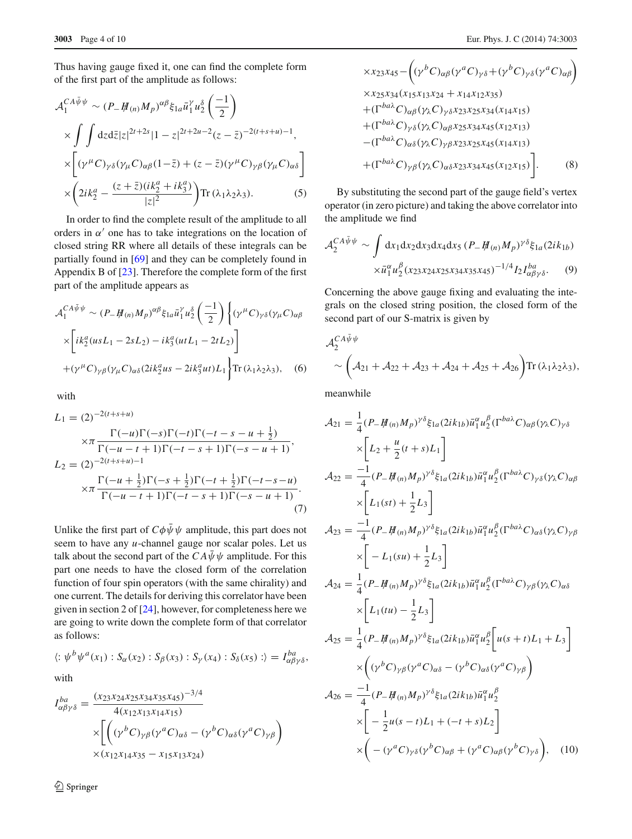Thus having gauge fixed it, one can find the complete form of the first part of the amplitude as follows:

$$
\mathcal{A}_{1}^{CA\bar{\psi}\psi} \sim (P_{-}\#_{(n)}M_{p})^{\alpha\beta}\xi_{1a}\bar{u}_{1}^{\gamma}u_{2}^{\delta}\left(\frac{-1}{2}\right)
$$
  
 
$$
\times \int \int dz d\bar{z}|z|^{2t+2s}|1-z|^{2t+2u-2}(z-\bar{z})^{-2(t+s+u)-1},
$$
  
 
$$
\times \left[ (\gamma^{\mu}C)_{\gamma\delta}(\gamma_{\mu}C)_{\alpha\beta}(1-\bar{z}) + (z-\bar{z})(\gamma^{\mu}C)_{\gamma\beta}(\gamma_{\mu}C)_{\alpha\delta} \right]
$$
  
 
$$
\times \left(2ik_{2}^{a} - \frac{(z+\bar{z})(ik_{2}^{a}+ik_{3}^{a})}{|z|^{2}}\right) \text{Tr} (\lambda_{1}\lambda_{2}\lambda_{3}).
$$
 (5)

In order to find the complete result of the amplitude to all orders in  $\alpha'$  one has to take integrations on the location of closed string RR where all details of these integrals can be partially found in [\[69\]](#page-9-29) and they can be completely found in Appendix B of [\[23\]](#page-9-1). Therefore the complete form of the first part of the amplitude appears as

$$
\mathcal{A}_{1}^{CA\bar{\psi}\psi} \sim (P_{-}H_{(n)}M_{p})^{\alpha\beta}\xi_{1a}\bar{u}_{1}^{\gamma}u_{2}^{\delta}\left(\frac{-1}{2}\right)\left\{(\gamma^{\mu}C)_{\gamma\delta}(\gamma_{\mu}C)_{\alpha\beta}\right\}
$$

$$
\times\left[ik_{2}^{a}(usL_{1}-2sL_{2})-ik_{3}^{a}(utL_{1}-2tL_{2})\right]
$$

$$
+(\gamma^{\mu}C)_{\gamma\beta}(\gamma_{\mu}C)_{\alpha\delta}(2ik_{2}^{a}us-2ik_{3}^{a}ut)L_{1}\right\}\text{Tr}\left(\lambda_{1}\lambda_{2}\lambda_{3}\right),\quad(6)
$$

with

$$
L_1 = (2)^{-2(t+s+u)}
$$
  
\n
$$
\times \pi \frac{\Gamma(-u)\Gamma(-s)\Gamma(-t)\Gamma(-t-s-u+\frac{1}{2})}{\Gamma(-u-t+1)\Gamma(-t-s+1)\Gamma(-s-u+1)},
$$
  
\n
$$
L_2 = (2)^{-2(t+s+u)-1}
$$
  
\n
$$
\times \pi \frac{\Gamma(-u+\frac{1}{2})\Gamma(-s+\frac{1}{2})\Gamma(-t+\frac{1}{2})\Gamma(-t-s-u)}{\Gamma(-u-t+1)\Gamma(-t-s+1)\Gamma(-s-u+1)}.
$$
  
\n(7)

Unlike the first part of  $C\phi\bar{\psi}\psi$  amplitude, this part does not seem to have any *u*-channel gauge nor scalar poles. Let us talk about the second part of the  $CA\bar{\psi}\psi$  amplitude. For this part one needs to have the closed form of the correlation function of four spin operators (with the same chirality) and one current. The details for deriving this correlator have been given in section 2 of [\[24](#page-9-2)], however, for completeness here we are going to write down the complete form of that correlator as follows:

 $\langle : \psi^b \psi^a(x_1) : S_{\alpha}(x_2) : S_{\beta}(x_3) : S_{\gamma}(x_4) : S_{\delta}(x_5) : \rangle = I_{\alpha\beta\gamma\delta}^{ba},$ with

$$
I_{\alpha\beta\gamma\delta}^{ba} = \frac{(x_{23}x_{24}x_{25}x_{34}x_{35}x_{45})^{-3/4}}{4(x_{12}x_{13}x_{14}x_{15})}
$$

$$
\times \left[ \left( (\gamma^{b}C)_{\gamma\beta}(\gamma^{a}C)_{\alpha\delta} - (\gamma^{b}C)_{\alpha\delta}(\gamma^{a}C)_{\gamma\beta} \right) \times (x_{12}x_{14}x_{35} - x_{15}x_{13}x_{24}) \right]
$$

$$
\times x_{23}x_{45} - \left( (\gamma^{b}C)_{\alpha\beta} (\gamma^{a}C)_{\gamma\delta} + (\gamma^{b}C)_{\gamma\delta} (\gamma^{a}C)_{\alpha\beta} \right)
$$
  
\n
$$
\times x_{25}x_{34} (x_{15}x_{13}x_{24} + x_{14}x_{12}x_{35})
$$
  
\n
$$
+ (\Gamma^{ba\lambda}C)_{\alpha\beta} (\gamma_{\lambda}C)_{\gamma\delta} x_{23}x_{25}x_{34} (x_{14}x_{15})
$$
  
\n
$$
+ (\Gamma^{ba\lambda}C)_{\gamma\delta} (\gamma_{\lambda}C)_{\alpha\beta} x_{25}x_{34}x_{45} (x_{12}x_{13})
$$
  
\n
$$
- (\Gamma^{ba\lambda}C)_{\alpha\delta} (\gamma_{\lambda}C)_{\gamma\beta} x_{23}x_{25}x_{45} (x_{14}x_{13})
$$
  
\n
$$
+ (\Gamma^{ba\lambda}C)_{\gamma\beta} (\gamma_{\lambda}C)_{\alpha\delta} x_{23}x_{34}x_{45} (x_{12}x_{15})
$$
  
\n(8)

By substituting the second part of the gauge field's vertex operator (in zero picture) and taking the above correlator into the amplitude we find

$$
\mathcal{A}_{2}^{CA\bar{\psi}\psi} \sim \int dx_{1} dx_{2} dx_{3} dx_{4} dx_{5} (P_{-} \#_{(n)} M_{p})^{\gamma\delta} \xi_{1a} (2ik_{1b})
$$

$$
\times \bar{u}_{1}^{\alpha} u_{2}^{\beta} (x_{23} x_{24} x_{25} x_{34} x_{35} x_{45})^{-1/4} I_{2} I_{\alpha\beta\gamma\delta}^{ba}.
$$
 (9)

Concerning the above gauge fixing and evaluating the integrals on the closed string position, the closed form of the second part of our S-matrix is given by

$$
\mathcal{A}_2^{CA\bar{\psi}\psi}\n\sim \left(\mathcal{A}_{21} + \mathcal{A}_{22} + \mathcal{A}_{23} + \mathcal{A}_{24} + \mathcal{A}_{25} + \mathcal{A}_{26}\right) \text{Tr}\left(\lambda_1 \lambda_2 \lambda_3\right),
$$

meanwhile

$$
\mathcal{A}_{21} = \frac{1}{4} (P_{-} \mathcal{H}_{(n)} M_{p})^{\gamma \delta} \xi_{1a} (2ik_{1b}) \bar{u}_{1}^{\alpha} u_{2}^{\beta} (\Gamma^{ba\lambda} C)_{\alpha\beta} (\gamma_{\lambda} C)_{\gamma \delta}
$$
  
\n
$$
\times \left[ L_{2} + \frac{u}{2} (t + s) L_{1} \right]
$$
  
\n
$$
\mathcal{A}_{22} = \frac{-1}{4} (P_{-} \mathcal{H}_{(n)} M_{p})^{\gamma \delta} \xi_{1a} (2ik_{1b}) \bar{u}_{1}^{\alpha} u_{2}^{\beta} (\Gamma^{ba\lambda} C)_{\gamma \delta} (\gamma_{\lambda} C)_{\alpha\beta}
$$
  
\n
$$
\times \left[ L_{1}(st) + \frac{1}{2} L_{3} \right]
$$
  
\n
$$
\mathcal{A}_{23} = \frac{-1}{4} (P_{-} \mathcal{H}_{(n)} M_{p})^{\gamma \delta} \xi_{1a} (2ik_{1b}) \bar{u}_{1}^{\alpha} u_{2}^{\beta} (\Gamma^{ba\lambda} C)_{\alpha\delta} (\gamma_{\lambda} C)_{\gamma\beta}
$$
  
\n
$$
\times \left[ -L_{1}(su) + \frac{1}{2} L_{3} \right]
$$
  
\n
$$
\mathcal{A}_{24} = \frac{1}{4} (P_{-} \mathcal{H}_{(n)} M_{p})^{\gamma \delta} \xi_{1a} (2ik_{1b}) \bar{u}_{1}^{\alpha} u_{2}^{\beta} (\Gamma^{ba\lambda} C)_{\gamma\beta} (\gamma_{\lambda} C)_{\alpha\delta}
$$
  
\n
$$
\times \left[ L_{1}(tu) - \frac{1}{2} L_{3} \right]
$$
  
\n
$$
\mathcal{A}_{25} = \frac{1}{4} (P_{-} \mathcal{H}_{(n)} M_{p})^{\gamma \delta} \xi_{1a} (2ik_{1b}) \bar{u}_{1}^{\alpha} u_{2}^{\beta} \left[ u(s + t) L_{1} + L_{3} \right]
$$
  
\n
$$
\times \left( (\gamma^{b} C)_{\gamma\beta} (\gamma^{a} C)_{\alpha\delta} - (\gamma^{b} C)_{\alpha\delta} (\gamma^{a} C)_{\gamma\beta} \right)
$$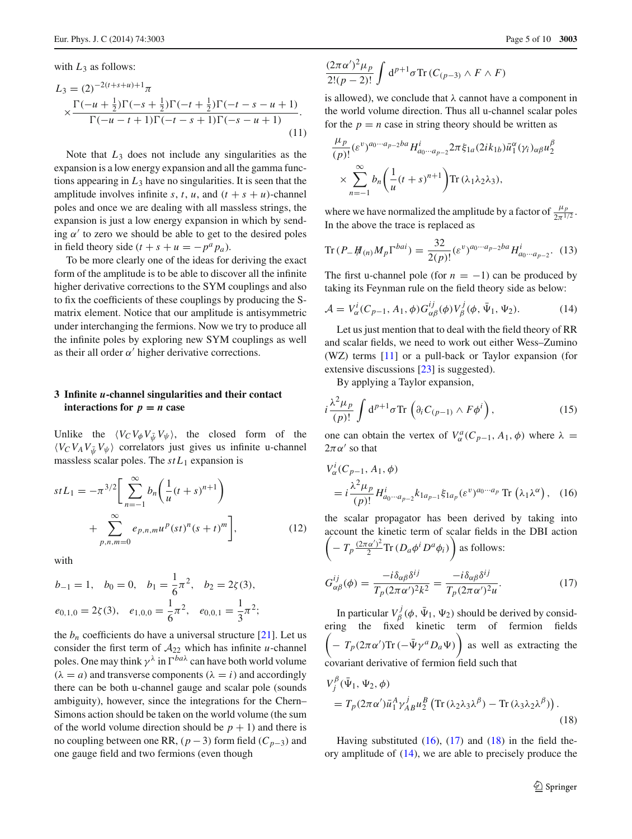with  $L_3$  as follows:

$$
L_3 = (2)^{-2(t+s+u)+1}\pi
$$
  
 
$$
\times \frac{\Gamma(-u+\frac{1}{2})\Gamma(-s+\frac{1}{2})\Gamma(-t+\frac{1}{2})\Gamma(-t-s-u+1)}{\Gamma(-u-t+1)\Gamma(-t-s+1)\Gamma(-s-u+1)}.
$$
 (11)

Note that *L*<sup>3</sup> does not include any singularities as the expansion is a low energy expansion and all the gamma functions appearing in  $L_3$  have no singularities. It is seen that the amplitude involves infinite *s*, *t*, *u*, and  $(t + s + u)$ -channel poles and once we are dealing with all massless strings, the expansion is just a low energy expansion in which by sending  $\alpha'$  to zero we should be able to get to the desired poles in field theory side  $(t + s + u = -p^a p_a)$ .

To be more clearly one of the ideas for deriving the exact form of the amplitude is to be able to discover all the infinite higher derivative corrections to the SYM couplings and also to fix the coefficients of these couplings by producing the Smatrix element. Notice that our amplitude is antisymmetric under interchanging the fermions. Now we try to produce all the infinite poles by exploring new SYM couplings as well as their all order  $\alpha'$  higher derivative corrections.

## **3 Infinite** *u***-channel singularities and their contact interactions for**  $p = n$  **case**

Unlike the  $\langle V_C V_{\phi} V_{\psi} V_{\psi} \rangle$ , the closed form of the  $\langle V_C V_A V_{\psi} V_{\psi} \rangle$  correlators just gives us infinite u-channel massless scalar poles. The  $stL_1$  expansion is

<span id="page-4-5"></span>
$$
stL_1 = -\pi^{3/2} \bigg[ \sum_{n=-1}^{\infty} b_n \bigg( \frac{1}{u} (t+s)^{n+1} \bigg) + \sum_{p,n,m=0}^{\infty} e_{p,n,m} u^p (st)^n (s+t)^m \bigg],
$$
 (12)

with

$$
b_{-1} = 1
$$
,  $b_0 = 0$ ,  $b_1 = \frac{1}{6}\pi^2$ ,  $b_2 = 2\zeta(3)$ ,  
 $e_{0,1,0} = 2\zeta(3)$ ,  $e_{1,0,0} = \frac{1}{6}\pi^2$ ,  $e_{0,0,1} = \frac{1}{3}\pi^2$ ;

the  $b_n$  coefficients do have a universal structure [\[21](#page-8-15)]. Let us consider the first term of  $A_{22}$  which has infinite *u*-channel poles. One may think  $\gamma^{\lambda}$  in  $\Gamma^{ba\lambda}$  can have both world volume  $(\lambda = a)$  and transverse components  $(\lambda = i)$  and accordingly there can be both u-channel gauge and scalar pole (sounds ambiguity), however, since the integrations for the Chern– Simons action should be taken on the world volume (the sum of the world volume direction should be  $p + 1$ ) and there is no coupling between one RR,  $(p-3)$  form field  $(C_{p-3})$  and one gauge field and two fermions (even though

$$
\frac{(2\pi\alpha')^2\mu_p}{2!(p-2)!}\int d^{p+1}\sigma \text{Tr}\left(C_{(p-3)}\wedge F\wedge F\right)
$$

is allowed), we conclude that  $\lambda$  cannot have a component in the world volume direction. Thus all u-channel scalar poles for the  $p = n$  case in string theory should be written as

$$
\frac{\mu_p}{(p)!} (\varepsilon^v)^{a_0 \cdots a_{p-2} b a} H_{a_0 \cdots a_{p-2}}^i 2\pi \xi_{1a} (2ik_{1b}) \bar{u}_1^{\alpha} (\gamma_i)_{\alpha\beta} u_2^{\beta}
$$
  
 
$$
\times \sum_{n=-1}^{\infty} b_n \left( \frac{1}{u} (t+s)^{n+1} \right) \text{Tr} (\lambda_1 \lambda_2 \lambda_3),
$$

where we have normalized the amplitude by a factor of  $\frac{\mu_p}{2\pi^{1/2}}$ . In the above the trace is replaced as

Tr 
$$
(P_- \#_{(n)} M_p \Gamma^{bai}) = \frac{32}{2(p)!} (\varepsilon^v)^{a_0 \cdots a_{p-2} ba} H_{a_0 \cdots a_{p-2}}^i.
$$
 (13)

The first u-channel pole (for  $n = -1$ ) can be produced by taking its Feynman rule on the field theory side as below:

<span id="page-4-3"></span>
$$
\mathcal{A} = V_{\alpha}^i(C_{p-1}, A_1, \phi) G_{\alpha\beta}^{ij}(\phi) V_{\beta}^j(\phi, \bar{\Psi}_1, \Psi_2).
$$
 (14)

Let us just mention that to deal with the field theory of RR and scalar fields, we need to work out either Wess–Zumino (WZ) terms [\[11](#page-8-8)] or a pull-back or Taylor expansion (for extensive discussions [\[23\]](#page-9-1) is suggested).

By applying a Taylor expansion,

<span id="page-4-4"></span>
$$
i\frac{\lambda^2\mu_p}{(p)!}\int d^{p+1}\sigma \text{Tr}\left(\partial_i C_{(p-1)}\wedge F\phi^i\right),\tag{15}
$$

one can obtain the vertex of  $V^a_\alpha(C_{p-1}, A_1, \phi)$  where  $\lambda =$  $2\pi\alpha'$  so that

<span id="page-4-0"></span>
$$
V_{\alpha}^{i}(C_{p-1}, A_1, \phi)
$$
  
=  $i \frac{\lambda^2 \mu_p}{(p)!} H_{a_0 \cdots a_{p-2}}^{i} k_{1a_{p-1}} \xi_{1a_p} (\varepsilon^v)^{a_0 \cdots a_p} \text{Tr} (\lambda_1 \lambda^{\alpha}),$  (16)

the scalar propagator has been derived by taking into account the kinetic term of scalar fields in the DBI action  $\left(-T_p \frac{(2\pi\alpha')^2}{2} \text{Tr}\left(D_a \phi^i D^a \phi_i\right)\right)$  as follows:

<span id="page-4-1"></span>
$$
G_{\alpha\beta}^{ij}(\phi) = \frac{-i\delta_{\alpha\beta}\delta^{ij}}{T_p(2\pi\alpha')^2k^2} = \frac{-i\delta_{\alpha\beta}\delta^{ij}}{T_p(2\pi\alpha')^2u}.
$$
 (17)

In particular  $V_{\beta}^{j}(\phi, \bar{\Psi}_1, \Psi_2)$  should be derived by considering the fixed kinetic term of fermion fields  $\left(-T_p(2\pi\alpha')\text{Tr}\left(-\bar{\Psi}\gamma^a D_a\Psi\right)\right)$  as well as extracting the covariant derivative of fermion field such that

<span id="page-4-2"></span>
$$
V_j^{\beta}(\bar{\Psi}_1, \Psi_2, \phi)
$$
  
=  $T_p(2\pi\alpha')\bar{u}_1^A \gamma_{AB}^j u_2^B (\text{Tr}(\lambda_2\lambda_3\lambda^\beta) - \text{Tr}(\lambda_3\lambda_2\lambda^\beta)).$  (18)

Having substituted  $(16)$ ,  $(17)$  and  $(18)$  in the field theory amplitude of  $(14)$ , we are able to precisely produce the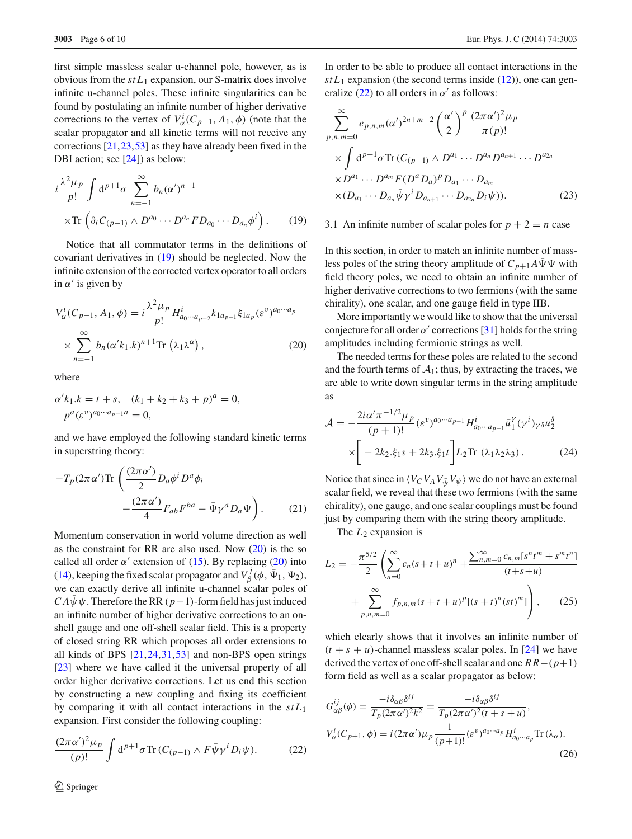first simple massless scalar u-channel pole, however, as is obvious from the  $stL_1$  expansion, our S-matrix does involve infinite u-channel poles. These infinite singularities can be found by postulating an infinite number of higher derivative corrections to the vertex of  $V^i_{\alpha}(C_{p-1}, A_1, \phi)$  (note that the scalar propagator and all kinetic terms will not receive any corrections [\[21,](#page-8-15)[23](#page-9-1)[,53](#page-9-17)] as they have already been fixed in the DBI action; see [\[24\]](#page-9-2)) as below:

<span id="page-5-0"></span>
$$
i\frac{\lambda^2\mu_p}{p!} \int d^{p+1}\sigma \sum_{n=-1}^{\infty} b_n(\alpha')^{n+1}
$$
  
×Tr  $\left(\partial_i C_{(p-1)} \wedge D^{a_0} \cdots D^{a_n} F D_{a_0} \cdots D_{a_n} \phi^i\right)$ . (19)

Notice that all commutator terms in the definitions of covariant derivatives in [\(19\)](#page-5-0) should be neglected. Now the infinite extension of the corrected vertex operator to all orders in  $\alpha'$  is given by

<span id="page-5-1"></span>
$$
V_{\alpha}^{i}(C_{p-1}, A_1, \phi) = i \frac{\lambda^2 \mu_p}{p!} H_{a_0 \cdots a_{p-2}}^{i} k_{1a_{p-1}} \xi_{1a_p} (\varepsilon^v)^{a_0 \cdots a_p}
$$

$$
\times \sum_{n=-1}^{\infty} b_n (\alpha' k_1 . k)^{n+1} \text{Tr} (\lambda_1 \lambda^{\alpha}), \qquad (20)
$$

where

$$
\alpha' k_1.k = t + s, \quad (k_1 + k_2 + k_3 + p)^a = 0, \np^a (\varepsilon^v)^{a_0 \cdots a_{p-1} a} = 0,
$$

and we have employed the following standard kinetic terms in superstring theory:

<span id="page-5-5"></span>
$$
-T_p (2\pi \alpha') \text{Tr} \left( \frac{(2\pi \alpha')}{2} D_a \phi^i D^a \phi_i - \frac{(2\pi \alpha')}{4} F_{ab} F^{ba} - \bar{\Psi} \gamma^a D_a \Psi \right). \tag{21}
$$

Momentum conservation in world volume direction as well as the constraint for RR are also used. Now [\(20\)](#page-5-1) is the so called all order  $\alpha'$  extension of [\(15\)](#page-4-4). By replacing [\(20\)](#page-5-1) into [\(14\)](#page-4-3), keeping the fixed scalar propagator and  $V^j_\beta(\phi, \bar{\Psi}_1, \Psi_2)$ , we can exactly derive all infinite u-channel scalar poles of  $CA\bar{\psi}\psi$ . Therefore the RR ( $p-1$ )-form field has just induced an infinite number of higher derivative corrections to an onshell gauge and one off-shell scalar field. This is a property of closed string RR which proposes all order extensions to all kinds of BPS  $[21, 24, 31, 53]$  $[21, 24, 31, 53]$  $[21, 24, 31, 53]$  and non-BPS open strings [\[23](#page-9-1)] where we have called it the universal property of all order higher derivative corrections. Let us end this section by constructing a new coupling and fixing its coefficient by comparing it with all contact interactions in the *stL*<sup>1</sup> expansion. First consider the following coupling:

<span id="page-5-2"></span>
$$
\frac{(2\pi\alpha')^2\mu_p}{(p)!} \int d^{p+1}\sigma \text{Tr}\left(C_{(p-1)}\wedge F\bar{\psi}\gamma^i D_i\psi\right). \tag{22}
$$

In order to be able to produce all contact interactions in the  $stL_1$  expansion (the second terms inside  $(12)$ ), one can gen-eralize [\(22\)](#page-5-2) to all orders in  $\alpha'$  as follows:

$$
\sum_{p,n,m=0}^{\infty} e_{p,n,m} (\alpha')^{2n+m-2} \left(\frac{\alpha'}{2}\right)^p \frac{(2\pi \alpha')^2 \mu_p}{\pi(p)!}
$$
  
 
$$
\times \int d^{p+1} \sigma \text{Tr} \left(C_{(p-1)} \wedge D^{a_1} \cdots D^{a_n} D^{a_{n+1}} \cdots D^{a_{2n}}\right)
$$
  
 
$$
\times D^{a_1} \cdots D^{a_m} F(D^a D_a)^p D_{a_1} \cdots D_{a_m}
$$
  
 
$$
\times (D_{a_1} \cdots D_{a_n} \bar{\psi} \gamma^i D_{a_{n+1}} \cdots D_{a_{2n}} D_i \psi)). \tag{23}
$$

3.1 An infinite number of scalar poles for  $p + 2 = n$  case

In this section, in order to match an infinite number of massless poles of the string theory amplitude of  $C_{p+1}A\bar{\Psi}\Psi$  with field theory poles, we need to obtain an infinite number of higher derivative corrections to two fermions (with the same chirality), one scalar, and one gauge field in type IIB.

More importantly we would like to show that the universal conjecture for all order  $\alpha'$  corrections [\[31](#page-9-6)] holds for the string amplitudes including fermionic strings as well.

The needed terms for these poles are related to the second and the fourth terms of  $A_1$ ; thus, by extracting the traces, we are able to write down singular terms in the string amplitude as

<span id="page-5-4"></span>
$$
\mathcal{A} = -\frac{2i\alpha'\pi^{-1/2}\mu_p}{(p+1)!} (\varepsilon^v)^{a_0 \cdots a_{p-1}} H^i_{a_0 \cdots a_{p-1}} \bar{u}_1^{\gamma} (\gamma^i)_{\gamma \delta} u_2^{\delta}
$$

$$
\times \left[ -2k_2 \dot{\xi}_1 s + 2k_3 \dot{\xi}_1 t \right] L_2 \text{Tr} \left( \lambda_1 \lambda_2 \lambda_3 \right). \tag{24}
$$

Notice that since in  $\langle V_C V_A V_{\bar{\psi}} V_{\psi} \rangle$  we do not have an external scalar field, we reveal that these two fermions (with the same chirality), one gauge, and one scalar couplings must be found just by comparing them with the string theory amplitude.

The  $L_2$  expansion is

<span id="page-5-3"></span>
$$
L_2 = -\frac{\pi^{5/2}}{2} \left( \sum_{n=0}^{\infty} c_n (s+t+u)^n + \frac{\sum_{n,m=0}^{\infty} c_{n,m} [s^n t^m + s^m t^n]}{(t+s+u)} + \sum_{p,n,m=0}^{\infty} f_{p,n,m} (s+t+u)^p [(s+t)^n (st)^m] \right), \quad (25)
$$

which clearly shows that it involves an infinite number of  $(t + s + u)$ -channel massless scalar poles. In [\[24](#page-9-2)] we have derived the vertex of one off-shell scalar and one *R R*−(*p*+1) form field as well as a scalar propagator as below:

$$
G_{\alpha\beta}^{ij}(\phi) = \frac{-i\delta_{\alpha\beta}\delta^{ij}}{T_p(2\pi\alpha')^2k^2} = \frac{-i\delta_{\alpha\beta}\delta^{ij}}{T_p(2\pi\alpha')^2(t+s+u)},
$$
  
\n
$$
V_{\alpha}^i(C_{p+1}, \phi) = i(2\pi\alpha')\mu_p \frac{1}{(p+1)!} (e^v)^{a_0 \cdots a_p} H_{a_0 \cdots a_p}^i \text{Tr}(\lambda_\alpha).
$$
\n(26)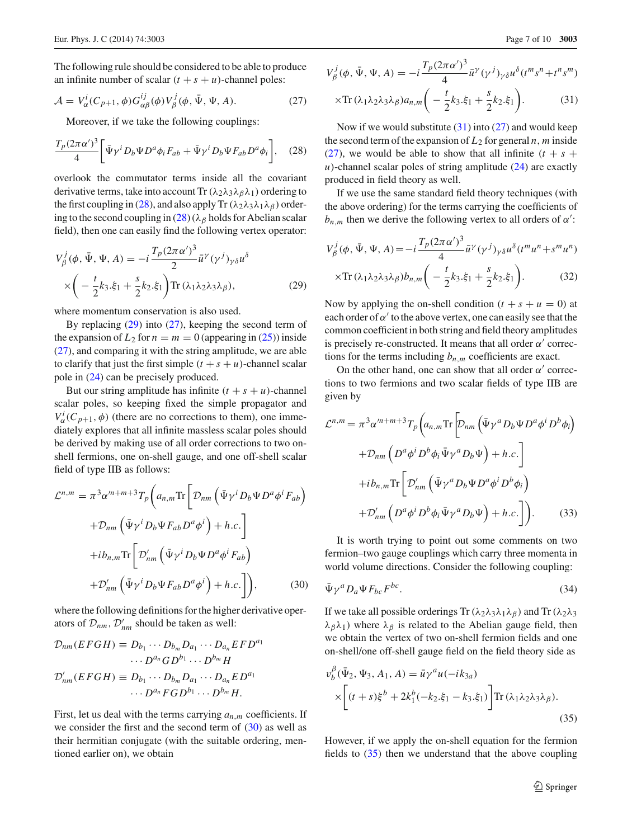The following rule should be considered to be able to produce an infinite number of scalar  $(t + s + u)$ -channel poles:

<span id="page-6-2"></span>
$$
\mathcal{A} = V_{\alpha}^{i}(C_{p+1}, \phi) G_{\alpha\beta}^{ij}(\phi) V_{\beta}^{j}(\phi, \bar{\Psi}, \Psi, A). \tag{27}
$$

Moreover, if we take the following couplings:

<span id="page-6-0"></span>
$$
\frac{T_p (2\pi \alpha')^3}{4} \bigg[ \bar{\Psi} \gamma^i D_b \Psi D^a \phi_i F_{ab} + \bar{\Psi} \gamma^i D_b \Psi F_{ab} D^a \phi_i \bigg], \quad (28)
$$

overlook the commutator terms inside all the covariant derivative terms, take into account Tr  $(\lambda_2 \lambda_3 \lambda_6 \lambda_1)$  ordering to the first coupling in [\(28\)](#page-6-0), and also apply Tr ( $\lambda_2\lambda_3\lambda_1\lambda_\beta$ ) ordering to the second coupling in  $(28)$  ( $\lambda_\beta$  holds for Abelian scalar field), then one can easily find the following vertex operator:

<span id="page-6-1"></span>
$$
V_{\beta}^{j}(\phi, \bar{\Psi}, \Psi, A) = -i \frac{T_{p}(2\pi\alpha')^{3}}{2} \bar{u}^{\gamma}(\gamma^{j})_{\gamma\delta} u^{\delta}
$$

$$
\times \left( -\frac{t}{2}k_{3} \dot{\xi}_{1} + \frac{s}{2}k_{2} \dot{\xi}_{1} \right) \text{Tr} \left( \lambda_{1} \lambda_{2} \lambda_{3} \lambda_{\beta} \right), \tag{29}
$$

where momentum conservation is also used.

By replacing  $(29)$  into  $(27)$ , keeping the second term of the expansion of  $L_2$  for  $n = m = 0$  (appearing in [\(25\)](#page-5-3)) inside [\(27\)](#page-6-2), and comparing it with the string amplitude, we are able to clarify that just the first simple  $(t + s + u)$ -channel scalar pole in [\(24\)](#page-5-4) can be precisely produced.

But our string amplitude has infinite  $(t + s + u)$ -channel scalar poles, so keeping fixed the simple propagator and  $V^i_{\alpha}(C_{p+1}, \phi)$  (there are no corrections to them), one immediately explores that all infinite massless scalar poles should be derived by making use of all order corrections to two onshell fermions, one on-shell gauge, and one off-shell scalar field of type IIB as follows:

<span id="page-6-3"></span>
$$
\mathcal{L}^{n,m} = \pi^3 \alpha'^{n+m+3} T_p \bigg( a_{n,m} \text{Tr} \bigg[ \mathcal{D}_{nm} \left( \bar{\Psi} \gamma^i D_b \Psi D^a \phi^i F_{ab} \right) \bigg) \n+ \mathcal{D}_{nm} \left( \bar{\Psi} \gamma^i D_b \Psi F_{ab} D^a \phi^i \right) + h.c. \bigg] \n+ ib_{n,m} \text{Tr} \bigg[ \mathcal{D}'_{nm} \left( \bar{\Psi} \gamma^i D_b \Psi D^a \phi^i F_{ab} \right) \n+ \mathcal{D}'_{nm} \left( \bar{\Psi} \gamma^i D_b \Psi F_{ab} D^a \phi^i \right) + h.c. \bigg] \bigg), \tag{30}
$$

where the following definitions for the higher derivative operators of  $\mathcal{D}_{nm}$ ,  $\mathcal{D}'_{nm}$  should be taken as well:

$$
\mathcal{D}_{nm}(EFGH) \equiv D_{b_1} \cdots D_{b_m} D_{a_1} \cdots D_{a_n} EFD^{a_1}
$$
  
\n
$$
\cdots D^{a_n} GD^{b_1} \cdots D^{b_m} H
$$
  
\n
$$
\mathcal{D}'_{nm}(EFGH) \equiv D_{b_1} \cdots D_{b_m} D_{a_1} \cdots D_{a_n} E D^{a_1}
$$
  
\n
$$
\cdots D^{a_n} FGD^{b_1} \cdots D^{b_m} H.
$$

First, let us deal with the terms carrying  $a_{n,m}$  coefficients. If we consider the first and the second term of  $(30)$  as well as their hermitian conjugate (with the suitable ordering, mentioned earlier on), we obtain

<span id="page-6-4"></span>
$$
V_{\beta}^{j}(\phi, \bar{\Psi}, \Psi, A) = -i \frac{T_p (2\pi \alpha')^3}{4} \bar{u}^{\gamma} (\gamma^{j})_{\gamma \delta} u^{\delta} (t^{m} s^{n} + t^{n} s^{m})
$$

$$
\times \text{Tr} (\lambda_1 \lambda_2 \lambda_3 \lambda_{\beta}) a_{n,m} \left( -\frac{t}{2} k_3 \dot{z}_1 + \frac{s}{2} k_2 \dot{z}_1 \right). \tag{31}
$$

Now if we would substitute  $(31)$  into  $(27)$  and would keep the second term of the expansion of  $L_2$  for general *n*, *m* inside [\(27\)](#page-6-2), we would be able to show that all infinite  $(t + s +$ *)-channel scalar poles of string amplitude*  $(24)$  *are exactly* produced in field theory as well.

If we use the same standard field theory techniques (with the above ordering) for the terms carrying the coefficients of  $b_{n,m}$  then we derive the following vertex to all orders of  $\alpha'$ :

$$
V_{\beta}^{j}(\phi, \bar{\Psi}, \Psi, A) = -i \frac{T_p (2\pi \alpha')^3}{4} \bar{u}^{\gamma} (\gamma^{j})_{\gamma \delta} u^{\delta} (t^{m} u^{n} + s^{m} u^{n})
$$
  
×Tr  $(\lambda_1 \lambda_2 \lambda_3 \lambda_{\beta}) b_{n,m} \left( -\frac{t}{2} k_3 \dot{z}_1 + \frac{s}{2} k_2 \dot{z}_1 \right).$  (32)

Now by applying the on-shell condition  $(t + s + u = 0)$  at each order of  $\alpha'$  to the above vertex, one can easily see that the common coefficient in both string and field theory amplitudes is precisely re-constructed. It means that all order  $\alpha'$  corrections for the terms including  $b_{n,m}$  coefficients are exact.

On the other hand, one can show that all order  $\alpha'$  corrections to two fermions and two scalar fields of type IIB are given by

$$
\mathcal{L}^{n,m} = \pi^3 \alpha^{m+m+3} T_p \left( a_{n,m} \text{Tr} \left[ D_{nm} \left( \bar{\Psi} \gamma^a D_b \Psi D^a \phi^i D^b \phi_i \right) \right. \right.\left. + D_{nm} \left( D^a \phi^i D^b \phi_i \bar{\Psi} \gamma^a D_b \Psi \right) + h.c. \right] \left. + ib_{n,m} \text{Tr} \left[ \mathcal{D}'_{nm} \left( \bar{\Psi} \gamma^a D_b \Psi D^a \phi^i D^b \phi_i \right) \right. \right.\left. + D'_{nm} \left( D^a \phi^i D^b \phi_i \bar{\Psi} \gamma^a D_b \Psi \right) + h.c. \right] \right). \tag{33}
$$

It is worth trying to point out some comments on two fermion–two gauge couplings which carry three momenta in world volume directions. Consider the following coupling:

<span id="page-6-6"></span>
$$
\bar{\Psi}\gamma^a D_a\Psi F_{bc}F^{bc}.\tag{34}
$$

If we take all possible orderings Tr( $\lambda_2\lambda_3\lambda_1\lambda_6$ ) and Tr( $\lambda_2\lambda_3$  $\lambda_{\beta}\lambda_1$ ) where  $\lambda_{\beta}$  is related to the Abelian gauge field, then we obtain the vertex of two on-shell fermion fields and one on-shell/one off-shell gauge field on the field theory side as

<span id="page-6-5"></span>
$$
v_b^{\beta}(\bar{\Psi}_2, \Psi_3, A_1, A) = \bar{u}\gamma^a u(-ik_{3a})
$$

$$
\times \left[ (t+s)\xi^b + 2k_1^b(-k_2.\xi_1 - k_3.\xi_1) \right] \text{Tr} (\lambda_1 \lambda_2 \lambda_3 \lambda_\beta).
$$
(35)

However, if we apply the on-shell equation for the fermion fields to [\(35\)](#page-6-5) then we understand that the above coupling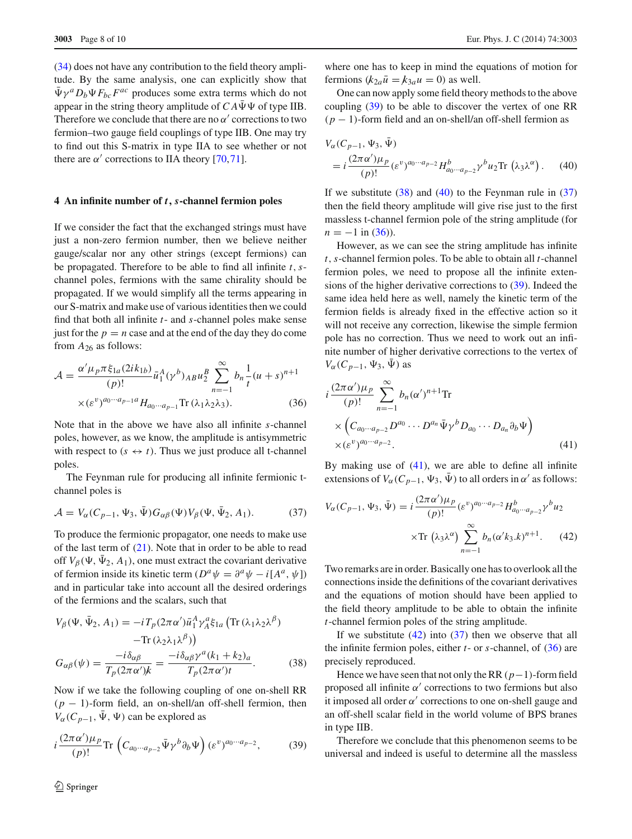[\(34\)](#page-6-6) does not have any contribution to the field theory amplitude. By the same analysis, one can explicitly show that  $\bar{\Psi} \gamma^a D_b \Psi F_{bc} F^{ac}$  produces some extra terms which do not appear in the string theory amplitude of  $CA\bar{\Psi}\Psi$  of type IIB. Therefore we conclude that there are no  $\alpha'$  corrections to two fermion–two gauge field couplings of type IIB. One may try to find out this S-matrix in type IIA to see whether or not there are  $\alpha'$  corrections to IIA theory [\[70](#page-9-30)[,71\]](#page-9-31).

### **4 An infinite number of** *t, s***-channel fermion poles**

If we consider the fact that the exchanged strings must have just a non-zero fermion number, then we believe neither gauge/scalar nor any other strings (except fermions) can be propagated. Therefore to be able to find all infinite *t*,*s*channel poles, fermions with the same chirality should be propagated. If we would simplify all the terms appearing in our S-matrix and make use of various identities then we could find that both all infinite *t*- and *s*-channel poles make sense just for the  $p = n$  case and at the end of the day they do come from *A*<sup>26</sup> as follows:

<span id="page-7-4"></span>
$$
\mathcal{A} = \frac{\alpha' \mu_p \pi \xi_{1a} (2ik_{1b})}{(p)!} \bar{u}_1^A (\gamma^b)_{AB} u_2^B \sum_{n=-1}^{\infty} b_n \frac{1}{t} (u+s)^{n+1} \times (\varepsilon^v)^{a_0 \cdots a_{p-1} a} H_{a_0 \cdots a_{p-1}} \text{Tr} (\lambda_1 \lambda_2 \lambda_3).
$$
 (36)

Note that in the above we have also all infinite *s*-channel poles, however, as we know, the amplitude is antisymmetric with respect to  $(s \leftrightarrow t)$ . Thus we just produce all t-channel poles.

The Feynman rule for producing all infinite fermionic tchannel poles is

<span id="page-7-3"></span>
$$
\mathcal{A} = V_{\alpha}(C_{p-1}, \Psi_3, \bar{\Psi}) G_{\alpha\beta}(\Psi) V_{\beta}(\Psi, \bar{\Psi}_2, A_1). \tag{37}
$$

To produce the fermionic propagator, one needs to make use of the last term of  $(21)$ . Note that in order to be able to read off  $V_\beta(\Psi, \bar{\Psi}_2, A_1)$ , one must extract the covariant derivative of fermion inside its kinetic term  $(D^a \psi = \partial^a \psi - i[A^a, \psi])$ and in particular take into account all the desired orderings of the fermions and the scalars, such that

<span id="page-7-1"></span>
$$
V_{\beta}(\Psi, \bar{\Psi}_2, A_1) = -i T_p (2\pi \alpha') \bar{u}_1^A \gamma_A^a \xi_{1a} (\text{Tr} (\lambda_1 \lambda_2 \lambda^\beta) - \text{Tr} (\lambda_2 \lambda_1 \lambda^\beta)) G_{\alpha\beta}(\psi) = \frac{-i \delta_{\alpha\beta}}{T_p (2\pi \alpha')k} = \frac{-i \delta_{\alpha\beta} \gamma^a (k_1 + k_2)_a}{T_p (2\pi \alpha')t}.
$$
(38)

Now if we take the following coupling of one on-shell RR (*p* − 1)-form field, an on-shell/an off-shell fermion, then  $V_\alpha$ ( $C_{p-1}$ ,  $\bar{\Psi}$ ,  $\Psi$ ) can be explored as

<span id="page-7-0"></span>
$$
i\frac{(2\pi\alpha')\mu_p}{(p)!}\text{Tr}\left(C_{a_0\cdots a_{p-2}}\bar{\Psi}\gamma^b\partial_b\Psi\right)(\varepsilon^v)^{a_0\cdots a_{p-2}},\tag{39}
$$

where one has to keep in mind the equations of motion for fermions  $(k_{2a}\overline{u} = k_{3a}u = 0)$  as well.

One can now apply some field theory methods to the above coupling [\(39\)](#page-7-0) to be able to discover the vertex of one RR (*p* − 1)-form field and an on-shell/an off-shell fermion as

<span id="page-7-2"></span>
$$
V_{\alpha}(C_{p-1}, \Psi_3, \Psi)
$$
  
=  $i \frac{(2\pi \alpha')\mu_p}{(p)!} (\varepsilon^v)^{a_0 \cdots a_{p-2}} H_{a_0 \cdots a_{p-2}}^b \gamma^b u_2 \text{Tr} (\lambda_3 \lambda^{\alpha}).$  (40)

If we substitute  $(38)$  and  $(40)$  to the Feynman rule in  $(37)$ then the field theory amplitude will give rise just to the first massless t-channel fermion pole of the string amplitude (for  $n = -1$  in [\(36\)](#page-7-4)).

However, as we can see the string amplitude has infinite *t*,*s*-channel fermion poles. To be able to obtain all *t*-channel fermion poles, we need to propose all the infinite extensions of the higher derivative corrections to [\(39\)](#page-7-0). Indeed the same idea held here as well, namely the kinetic term of the fermion fields is already fixed in the effective action so it will not receive any correction, likewise the simple fermion pole has no correction. Thus we need to work out an infinite number of higher derivative corrections to the vertex of  $V_\alpha$ ( $C_{p-1}$ ,  $\Psi_3$ ,  $\bar{\Psi}$ ) as

<span id="page-7-5"></span>
$$
i \frac{(2\pi\alpha')\mu_p}{(p)!} \sum_{n=-1}^{\infty} b_n(\alpha')^{n+1} \text{Tr}
$$
  
 
$$
\times \left( C_{a_0 \cdots a_{p-2}} D^{a_0} \cdots D^{a_n} \bar{\Psi} \gamma^b D_{a_0} \cdots D_{a_n} \partial_b \Psi \right)
$$
  
 
$$
\times (\varepsilon^v)^{a_0 \cdots a_{p-2}}.
$$
 (41)

By making use of [\(41\)](#page-7-5), we are able to define all infinite extensions of  $V_\alpha$  ( $C_{p-1}$ ,  $\Psi_3$ ,  $\Psi$ ) to all orders in  $\alpha'$  as follows:

<span id="page-7-6"></span>
$$
V_{\alpha}(C_{p-1}, \Psi_3, \bar{\Psi}) = i \frac{(2\pi \alpha')\mu_p}{(p)!} (\varepsilon^v)^{a_0 \cdots a_{p-2}} H_{a_0 \cdots a_{p-2}}^b \gamma^b u_2
$$
  
×Tr  $(\lambda_3 \lambda^{\alpha}) \sum_{n=-1}^{\infty} b_n (\alpha' k_3 \cdot k)^{n+1}.$  (42)

Two remarks are in order. Basically one has to overlook all the connections inside the definitions of the covariant derivatives and the equations of motion should have been applied to the field theory amplitude to be able to obtain the infinite *t*-channel fermion poles of the string amplitude.

If we substitute  $(42)$  into  $(37)$  then we observe that all the infinite fermion poles, either *t*- or *s*-channel, of [\(36\)](#page-7-4) are precisely reproduced.

Hence we have seen that not only the RR(*p*−1)-form field proposed all infinite  $\alpha'$  corrections to two fermions but also it imposed all order  $\alpha'$  corrections to one on-shell gauge and an off-shell scalar field in the world volume of BPS branes in type IIB.

Therefore we conclude that this phenomenon seems to be universal and indeed is useful to determine all the massless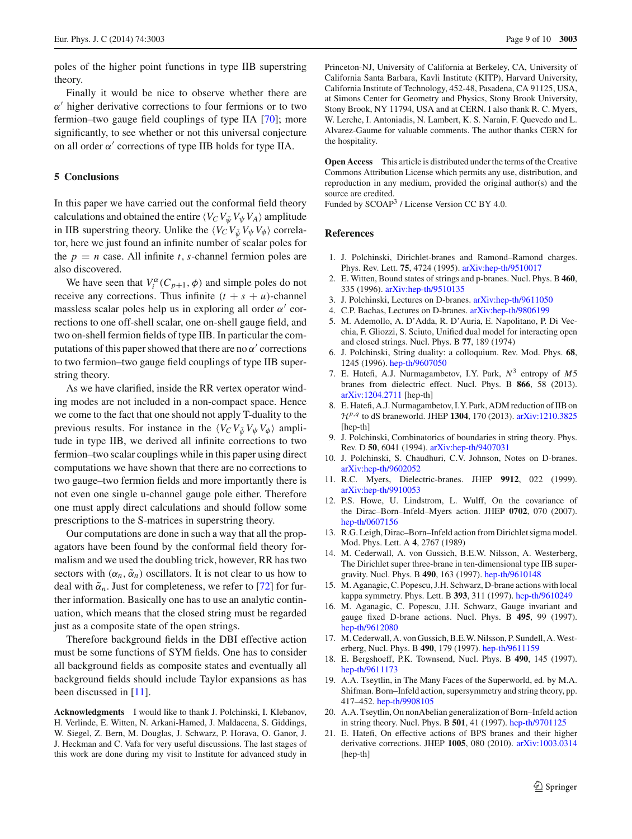poles of the higher point functions in type IIB superstring theory.

Finally it would be nice to observe whether there are  $\alpha'$  higher derivative corrections to four fermions or to two fermion–two gauge field couplings of type IIA [\[70](#page-9-30)]; more significantly, to see whether or not this universal conjecture on all order  $\alpha'$  corrections of type IIB holds for type IIA.

#### **5 Conclusions**

In this paper we have carried out the conformal field theory calculations and obtained the entire  $\langle V_C V_{\bar{\psi}} V_{\psi} V_A \rangle$  amplitude in IIB superstring theory. Unlike the  $\langle V_C V_{\bar{\psi}} V_{\psi} V_{\phi} \rangle$  correlator, here we just found an infinite number of scalar poles for the  $p = n$  case. All infinite *t*, *s*-channel fermion poles are also discovered.

We have seen that  $V_i^{\alpha}(C_{p+1}, \phi)$  and simple poles do not receive any corrections. Thus infinite  $(t + s + u)$ -channel massless scalar poles help us in exploring all order  $\alpha'$  corrections to one off-shell scalar, one on-shell gauge field, and two on-shell fermion fields of type IIB. In particular the computations of this paper showed that there are no  $\alpha'$  corrections to two fermion–two gauge field couplings of type IIB superstring theory.

As we have clarified, inside the RR vertex operator winding modes are not included in a non-compact space. Hence we come to the fact that one should not apply T-duality to the previous results. For instance in the  $\langle V_C V_{\bar{\psi}} V_{\psi} V_{\phi} \rangle$  amplitude in type IIB, we derived all infinite corrections to two fermion–two scalar couplings while in this paper using direct computations we have shown that there are no corrections to two gauge–two fermion fields and more importantly there is not even one single u-channel gauge pole either. Therefore one must apply direct calculations and should follow some prescriptions to the S-matrices in superstring theory.

Our computations are done in such a way that all the propagators have been found by the conformal field theory formalism and we used the doubling trick, however, RR has two sectors with  $(\alpha_n, \tilde{\alpha}_n)$  oscillators. It is not clear to us how to deal with  $\tilde{\alpha}_n$ . Just for completeness, we refer to [\[72\]](#page-9-32) for further information. Basically one has to use an analytic continuation, which means that the closed string must be regarded just as a composite state of the open strings.

Therefore background fields in the DBI effective action must be some functions of SYM fields. One has to consider all background fields as composite states and eventually all background fields should include Taylor expansions as has been discussed in [\[11\]](#page-8-8).

**Acknowledgments** I would like to thank J. Polchinski, I. Klebanov, H. Verlinde, E. Witten, N. Arkani-Hamed, J. Maldacena, S. Giddings, W. Siegel, Z. Bern, M. Douglas, J. Schwarz, P. Horava, O. Ganor, J. J. Heckman and C. Vafa for very useful discussions. The last stages of this work are done during my visit to Institute for advanced study in Princeton-NJ, University of California at Berkeley, CA, University of California Santa Barbara, Kavli Institute (KITP), Harvard University, California Institute of Technology, 452-48, Pasadena, CA 91125, USA, at Simons Center for Geometry and Physics, Stony Brook University, Stony Brook, NY 11794, USA and at CERN. I also thank R. C. Myers, W. Lerche, I. Antoniadis, N. Lambert, K. S. Narain, F. Quevedo and L. Alvarez-Gaume for valuable comments. The author thanks CERN for the hospitality.

**Open Access** This article is distributed under the terms of the Creative Commons Attribution License which permits any use, distribution, and reproduction in any medium, provided the original author(s) and the source are credited.

Funded by SCOAP<sup>3</sup> / License Version CC BY 4.0.

#### <span id="page-8-14"></span>**References**

- <span id="page-8-0"></span>1. J. Polchinski, Dirichlet-branes and Ramond–Ramond charges. Phys. Rev. Lett. **75**, 4724 (1995). [arXiv:hep-th/9510017](http://arxiv.org/abs/hep-th/9510017)
- 2. E. Witten, Bound states of strings and p-branes. Nucl. Phys. B **460**, 335 (1996). [arXiv:hep-th/9510135](http://arxiv.org/abs/hep-th/9510135)
- 3. J. Polchinski, Lectures on D-branes. [arXiv:hep-th/9611050](http://arxiv.org/abs/hep-th/9611050)
- <span id="page-8-1"></span>4. C.P. Bachas, Lectures on D-branes. [arXiv:hep-th/9806199](http://arxiv.org/abs/hep-th/9806199)
- <span id="page-8-2"></span>5. M. Ademollo, A. D'Adda, R. D'Auria, E. Napolitano, P. Di Vecchia, F. Gliozzi, S. Sciuto, Unified dual model for interacting open and closed strings. Nucl. Phys. B **77**, 189 (1974)
- <span id="page-8-3"></span>6. J. Polchinski, String duality: a colloquium. Rev. Mod. Phys. **68**, 1245 (1996). [hep-th/9607050](http://arxiv.org/abs/hep-th/9607050)
- <span id="page-8-4"></span>7. E. Hatefi, A.J. Nurmagambetov, I.Y. Park, *N*<sup>3</sup> entropy of *M*5 branes from dielectric effect. Nucl. Phys. B **866**, 58 (2013). [arXiv:1204.2711](http://arxiv.org/abs/1204.2711) [hep-th]
- <span id="page-8-5"></span>8. E. Hatefi, A.J. Nurmagambetov, I.Y. Park, ADM reduction of IIB on *<sup>H</sup>p*,*<sup>q</sup>* to dS braneworld. JHEP **<sup>1304</sup>**, 170 (2013). [arXiv:1210.3825](http://arxiv.org/abs/1210.3825) [hep-th]
- <span id="page-8-6"></span>9. J. Polchinski, Combinatorics of boundaries in string theory. Phys. Rev. D **50**, 6041 (1994). [arXiv:hep-th/9407031](http://arxiv.org/abs/hep-th/9407031)
- <span id="page-8-7"></span>10. J. Polchinski, S. Chaudhuri, C.V. Johnson, Notes on D-branes. [arXiv:hep-th/9602052](http://arxiv.org/abs/hep-th/9602052)
- <span id="page-8-8"></span>11. R.C. Myers, Dielectric-branes. JHEP **9912**, 022 (1999). [arXiv:hep-th/9910053](http://arxiv.org/abs/hep-th/9910053)
- <span id="page-8-9"></span>12. P.S. Howe, U. Lindstrom, L. Wulff, On the covariance of the Dirac–Born–Infeld–Myers action. JHEP **0702**, 070 (2007). [hep-th/0607156](http://arxiv.org/abs/hep-th/0607156)
- <span id="page-8-10"></span>13. R.G. Leigh, Dirac–Born–Infeld action from Dirichlet sigma model. Mod. Phys. Lett. A **4**, 2767 (1989)
- <span id="page-8-11"></span>14. M. Cederwall, A. von Gussich, B.E.W. Nilsson, A. Westerberg, The Dirichlet super three-brane in ten-dimensional type IIB supergravity. Nucl. Phys. B **490**, 163 (1997). [hep-th/9610148](http://arxiv.org/abs/hep-th/9610148)
- 15. M. Aganagic, C. Popescu, J.H. Schwarz, D-brane actions with local kappa symmetry. Phys. Lett. B **393**, 311 (1997). [hep-th/9610249](http://arxiv.org/abs/hep-th/9610249)
- 16. M. Aganagic, C. Popescu, J.H. Schwarz, Gauge invariant and gauge fixed D-brane actions. Nucl. Phys. B **495**, 99 (1997). [hep-th/9612080](http://arxiv.org/abs/hep-th/9612080)
- 17. M. Cederwall, A. von Gussich, B.E.W. Nilsson, P. Sundell, A.Westerberg, Nucl. Phys. B **490**, 179 (1997). [hep-th/9611159](http://arxiv.org/abs/hep-th/9611159)
- <span id="page-8-12"></span>18. E. Bergshoeff, P.K. Townsend, Nucl. Phys. B **490**, 145 (1997). [hep-th/9611173](http://arxiv.org/abs/hep-th/9611173)
- <span id="page-8-13"></span>19. A.A. Tseytlin, in The Many Faces of the Superworld, ed. by M.A. Shifman. Born–Infeld action, supersymmetry and string theory, pp. 417–452. [hep-th/9908105](http://arxiv.org/abs/hep-th/9908105)
- 20. A.A. Tseytlin, On nonAbelian generalization of Born–Infeld action in string theory. Nucl. Phys. B **501**, 41 (1997). [hep-th/9701125](http://arxiv.org/abs/hep-th/9701125)
- <span id="page-8-15"></span>21. E. Hatefi, On effective actions of BPS branes and their higher derivative corrections. JHEP **1005**, 080 (2010). [arXiv:1003.0314](http://arxiv.org/abs/1003.0314) [hep-th]